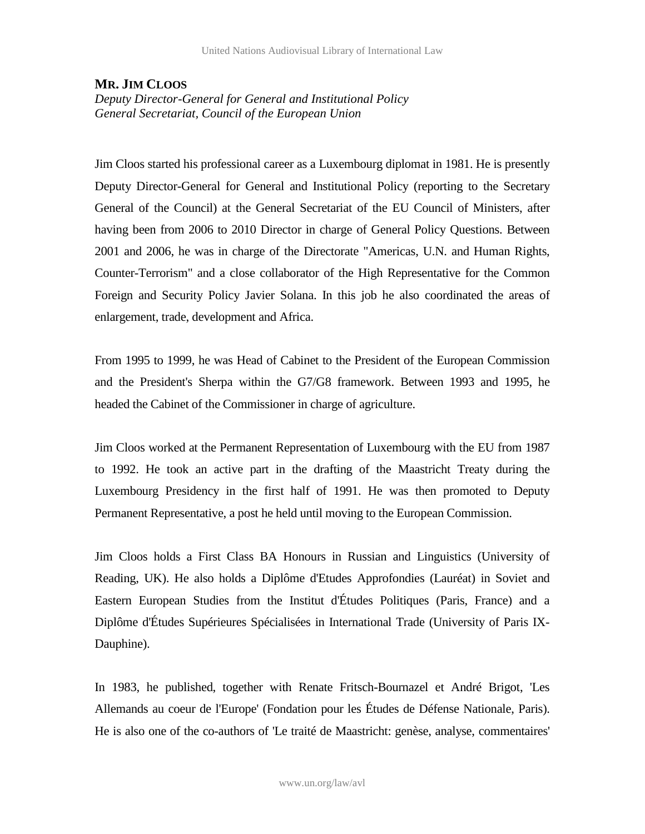## **MR. JIM CLOOS**

*Deputy Director-General for General and Institutional Policy General Secretariat, Council of the European Union*

Jim Cloos started his professional career as a Luxembourg diplomat in 1981. He is presently Deputy Director-General for General and Institutional Policy (reporting to the Secretary General of the Council) at the General Secretariat of the EU Council of Ministers, after having been from 2006 to 2010 Director in charge of General Policy Questions. Between 2001 and 2006, he was in charge of the Directorate "Americas, U.N. and Human Rights, Counter-Terrorism" and a close collaborator of the High Representative for the Common Foreign and Security Policy Javier Solana. In this job he also coordinated the areas of enlargement, trade, development and Africa.

From 1995 to 1999, he was Head of Cabinet to the President of the European Commission and the President's Sherpa within the G7/G8 framework. Between 1993 and 1995, he headed the Cabinet of the Commissioner in charge of agriculture.

Jim Cloos worked at the Permanent Representation of Luxembourg with the EU from 1987 to 1992. He took an active part in the drafting of the Maastricht Treaty during the Luxembourg Presidency in the first half of 1991. He was then promoted to Deputy Permanent Representative, a post he held until moving to the European Commission.

Jim Cloos holds a First Class BA Honours in Russian and Linguistics (University of Reading, UK). He also holds a Diplôme d'Etudes Approfondies (Lauréat) in Soviet and Eastern European Studies from the Institut d'Études Politiques (Paris, France) and a Diplôme d'Études Supérieures Spécialisées in International Trade (University of Paris IX-Dauphine).

In 1983, he published, together with Renate Fritsch-Bournazel et André Brigot, 'Les Allemands au coeur de l'Europe' (Fondation pour les Études de Défense Nationale, Paris). He is also one of the co-authors of 'Le traité de Maastricht: genèse, analyse, commentaires'